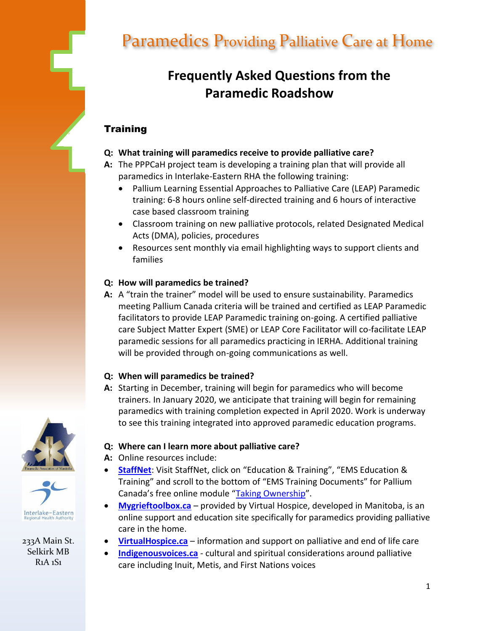

233A Main St. Selkirk MB R1A 1S1

# Paramedics Providing Palliative Care at Home

## $\sim$  **Frequently Asked Questions from the Paramedic Roadshow**

## **Training**

- **Q: What training will paramedics receive to provide palliative care?**
- **A:** The PPPCaH project team is developing a training plan that will provide all paramedics in Interlake-Eastern RHA the following training:
	- Pallium Learning Essential Approaches to Palliative Care (LEAP) Paramedic training: 6-8 hours online self-directed training and 6 hours of interactive case based classroom training
	- Classroom training on new palliative protocols, related Designated Medical Acts (DMA), policies, procedures
	- Resources sent monthly via email highlighting ways to support clients and families

## **Q: How will paramedics be trained?**

**A:** A "train the trainer" model will be used to ensure sustainability. Paramedics meeting Pallium Canada criteria will be trained and certified as LEAP Paramedic facilitators to provide LEAP Paramedic training on-going. A certified palliative care Subject Matter Expert (SME) or LEAP Core Facilitator will co-facilitate LEAP paramedic sessions for all paramedics practicing in IERHA. Additional training will be provided through on-going communications as well.

## **Q: When will paramedics be trained?**

**A:** Starting in December, training will begin for paramedics who will become trainers. In January 2020, we anticipate that training will begin for remaining paramedics with training completion expected in April 2020. Work is underway to see this training integrated into approved paramedic education programs.

## **Q: Where can I learn more about palliative care?**

- **A:** Online resources include:
- **[StaffNet](https://staffnet.ierha.ca/default.aspx?cid=7178&lang=1)**: Visit StaffNet, click on "Education & Training", "EMS Education & Training" and scroll to the bottom of "EMS Training Documents" for Pallium Canada's free online module "[Taking Ownership](https://www.pallium.ca/taking-ownership/)".
- **[Mygrieftoolbox.ca](https://grieftoolbox.ca/)** provided by Virtual Hospice, developed in Manitoba, is an online support and education site specifically for paramedics providing palliative care in the home.
- **[VirtualHospice.ca](http://www.virtualhospice.ca/)** information and support on palliative and end of life care
- **[Indigenousvoices.ca](http://livingmyculture.ca/culture/)** cultural and spiritual considerations around palliative care including Inuit, Metis, and First Nations voices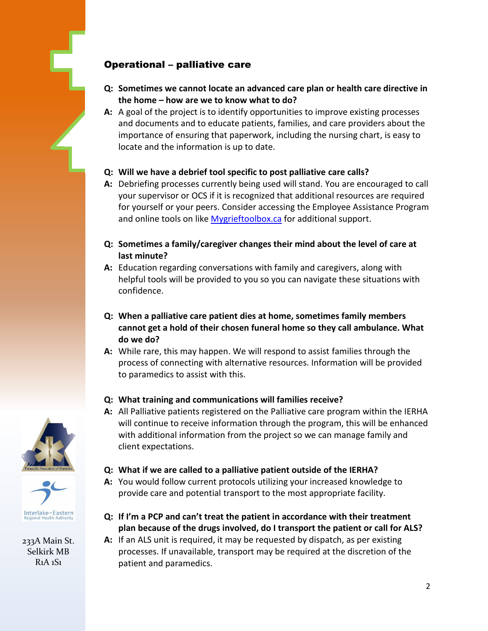## Operational – palliative care

- **Q: Sometimes we cannot locate an advanced care plan or health care directive in the home – how are we to know what to do?**
- **A:** A goal of the project is to identify opportunities to improve existing processes and documents and to educate patients, families, and care providers about the importance of ensuring that paperwork, including the nursing chart, is easy to locate and the information is up to date.

#### **Q: Will we have a debrief tool specific to post palliative care calls?**

- **A:** Debriefing processes currently being used will stand. You are encouraged to call your supervisor or OCS if it is recognized that additional resources are required for yourself or your peers. Consider accessing the Employee Assistance Program and online tools on like [Mygrieftoolbox.ca](https://grieftoolbox.ca/) for additional support.
- **Q: Sometimes a family/caregiver changes their mind about the level of care at last minute?**
- **A:** Education regarding conversations with family and caregivers, along with helpful tools will be provided to you so you can navigate these situations with confidence.
- **Q: When a palliative care patient dies at home, sometimes family members cannot get a hold of their chosen funeral home so they call ambulance. What do we do?**
- **A:** While rare, this may happen. We will respond to assist families through the process of connecting with alternative resources. Information will be provided to paramedics to assist with this.

#### **Q: What training and communications will families receive?**

- **A:** All Palliative patients registered on the Palliative care program within the IERHA will continue to receive information through the program, this will be enhanced with additional information from the project so we can manage family and client expectations.
- **Q: What if we are called to a palliative patient outside of the IERHA?**
- **A:** You would follow current protocols utilizing your increased knowledge to provide care and potential transport to the most appropriate facility.
- **Q: If I'm a PCP and can't treat the patient in accordance with their treatment plan because of the drugs involved, do I transport the patient or call for ALS?**
- **A:** If an ALS unit is required, it may be requested by dispatch, as per existing processes. If unavailable, transport may be required at the discretion of the patient and paramedics.





233A Main St. Selkirk MB R1A 1S1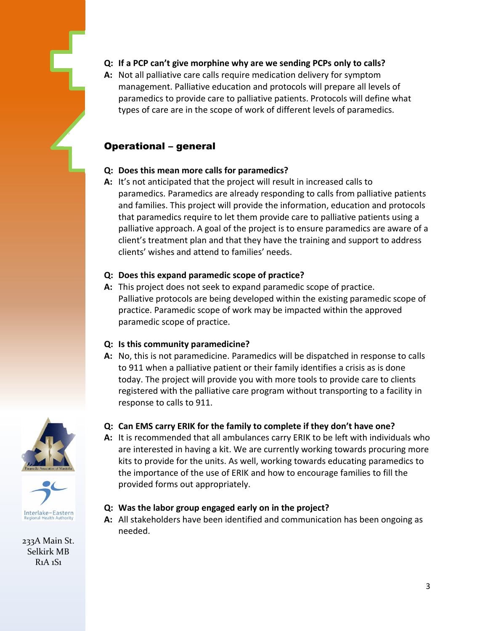

**A:** Not all palliative care calls require medication delivery for symptom management. Palliative education and protocols will prepare all levels of paramedics to provide care to palliative patients. Protocols will define what types of care are in the scope of work of different levels of paramedics.

## Operational – general

## **Q: Does this mean more calls for paramedics?**

**A:** It's not anticipated that the project will result in increased calls to paramedics. Paramedics are already responding to calls from palliative patients and families. This project will provide the information, education and protocols that paramedics require to let them provide care to palliative patients using a palliative approach. A goal of the project is to ensure paramedics are aware of a client's treatment plan and that they have the training and support to address clients' wishes and attend to families' needs.

## **Q: Does this expand paramedic scope of practice?**

**A:** This project does not seek to expand paramedic scope of practice. Palliative protocols are being developed within the existing paramedic scope of practice. Paramedic scope of work may be impacted within the approved paramedic scope of practice.

## **Q: Is this community paramedicine?**

**A:** No, this is not paramedicine. Paramedics will be dispatched in response to calls to 911 when a palliative patient or their family identifies a crisis as is done today. The project will provide you with more tools to provide care to clients registered with the palliative care program without transporting to a facility in response to calls to 911.





233A Main St. Selkirk MB R1A 1S1

## **Q: Can EMS carry ERIK for the family to complete if they don't have one?**

**A:** It is recommended that all ambulances carry ERIK to be left with individuals who are interested in having a kit. We are currently working towards procuring more kits to provide for the units. As well, working towards educating paramedics to the importance of the use of ERIK and how to encourage families to fill the provided forms out appropriately.

## **Q: Was the labor group engaged early on in the project?**

**A:** All stakeholders have been identified and communication has been ongoing as needed.